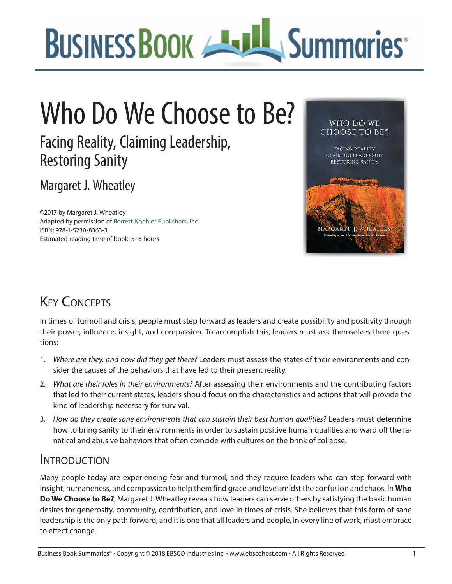

# Who Do We Choose to Be?

Facing Reality, Claiming Leadership, Restoring Sanity

Margaret J. Wheatley

©2017 by Margaret J. Wheatley Adapted by permission of [Berrett-Koehler Publishers, Inc.](https://www.bkconnection.com/) ISBN: 978-1-5230-8363-3 Estimated reading time of book: 5–6 hours



# **KEY CONCEPTS**

In times of turmoil and crisis, people must step forward as leaders and create possibility and positivity through their power, influence, insight, and compassion. To accomplish this, leaders must ask themselves three questions:

- 1. *Where are they, and how did they get there?* Leaders must assess the states of their environments and consider the causes of the behaviors that have led to their present reality.
- 2. *What are their roles in their environments?* After assessing their environments and the contributing factors that led to their current states, leaders should focus on the characteristics and actions that will provide the kind of leadership necessary for survival.
- 3. *How do they create sane environments that can sustain their best human qualities?* Leaders must determine how to bring sanity to their environments in order to sustain positive human qualities and ward off the fanatical and abusive behaviors that often coincide with cultures on the brink of collapse.

#### **INTRODUCTION**

Many people today are experiencing fear and turmoil, and they require leaders who can step forward with insight, humaneness, and compassion to help them find grace and love amidst the confusion and chaos. In **Who Do We Choose to Be?**, Margaret J. Wheatley reveals how leaders can serve others by satisfying the basic human desires for generosity, community, contribution, and love in times of crisis. She believes that this form of sane leadership is the only path forward, and it is one that all leaders and people, in every line of work, must embrace to effect change.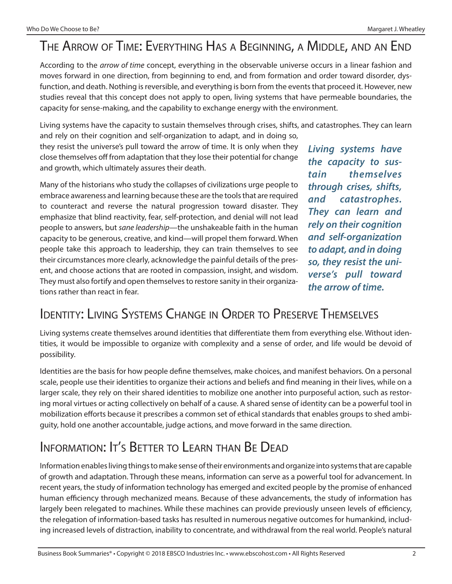#### The Arrow of Time: Everything Has a Beginning, a Middle, and an End

According to the *arrow of time* concept, everything in the observable universe occurs in a linear fashion and moves forward in one direction, from beginning to end, and from formation and order toward disorder, dysfunction, and death. Nothing is reversible, and everything is born from the events that proceed it. However, new studies reveal that this concept does not apply to open, living systems that have permeable boundaries, the capacity for sense-making, and the capability to exchange energy with the environment.

Living systems have the capacity to sustain themselves through crises, shifts, and catastrophes. They can learn

and rely on their cognition and self-organization to adapt, and in doing so, they resist the universe's pull toward the arrow of time. It is only when they close themselves off from adaptation that they lose their potential for change and growth, which ultimately assures their death.

Many of the historians who study the collapses of civilizations urge people to embrace awareness and learning because these are the tools that are required to counteract and reverse the natural progression toward disaster. They emphasize that blind reactivity, fear, self-protection, and denial will not lead people to answers, but *sane leadership*—the unshakeable faith in the human capacity to be generous, creative, and kind—will propel them forward. When people take this approach to leadership, they can train themselves to see their circumstances more clearly, acknowledge the painful details of the present, and choose actions that are rooted in compassion, insight, and wisdom. They must also fortify and open themselves to restore sanity in their organizations rather than react in fear.

*Living systems have the capacity to sustain themselves through crises, shifts, and catastrophes. They can learn and rely on their cognition and self-organization to adapt, and in doing so, they resist the universe's pull toward the arrow of time.*

#### Identity: Living Systems Change in Order to Preserve Themselves

Living systems create themselves around identities that differentiate them from everything else. Without identities, it would be impossible to organize with complexity and a sense of order, and life would be devoid of possibility.

Identities are the basis for how people define themselves, make choices, and manifest behaviors. On a personal scale, people use their identities to organize their actions and beliefs and find meaning in their lives, while on a larger scale, they rely on their shared identities to mobilize one another into purposeful action, such as restoring moral virtues or acting collectively on behalf of a cause. A shared sense of identity can be a powerful tool in mobilization efforts because it prescribes a common set of ethical standards that enables groups to shed ambiguity, hold one another accountable, judge actions, and move forward in the same direction.

#### Information: It's Better to Learn than Be Dead

Information enables living things to make sense of their environments and organize into systems that are capable of growth and adaptation. Through these means, information can serve as a powerful tool for advancement. In recent years, the study of information technology has emerged and excited people by the promise of enhanced human efficiency through mechanized means. Because of these advancements, the study of information has largely been relegated to machines. While these machines can provide previously unseen levels of efficiency, the relegation of information-based tasks has resulted in numerous negative outcomes for humankind, including increased levels of distraction, inability to concentrate, and withdrawal from the real world. People's natural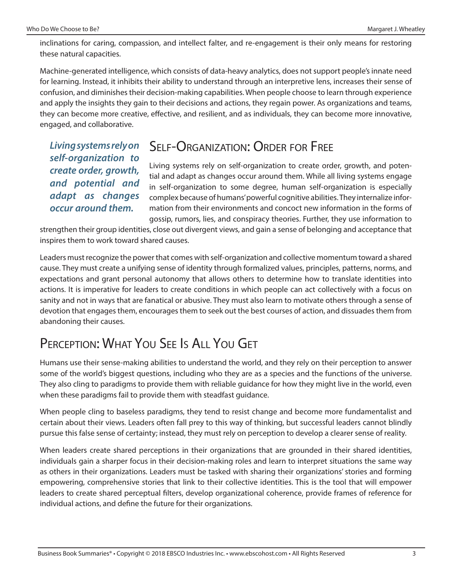inclinations for caring, compassion, and intellect falter, and re-engagement is their only means for restoring these natural capacities.

Machine-generated intelligence, which consists of data-heavy analytics, does not support people's innate need for learning. Instead, it inhibits their ability to understand through an interpretive lens, increases their sense of confusion, and diminishes their decision-making capabilities. When people choose to learn through experience and apply the insights they gain to their decisions and actions, they regain power. As organizations and teams, they can become more creative, effective, and resilient, and as individuals, they can become more innovative, engaged, and collaborative.

*Living systems rely on self-organization to create order, growth, and potential and adapt as changes occur around them.*

#### SELE-ORGANIZATION: ORDER FOR FREE

Living systems rely on self-organization to create order, growth, and potential and adapt as changes occur around them. While all living systems engage in self-organization to some degree, human self-organization is especially complex because of humans' powerful cognitive abilities. They internalize information from their environments and concoct new information in the forms of gossip, rumors, lies, and conspiracy theories. Further, they use information to

strengthen their group identities, close out divergent views, and gain a sense of belonging and acceptance that inspires them to work toward shared causes.

Leaders must recognize the power that comes with self-organization and collective momentum toward a shared cause. They must create a unifying sense of identity through formalized values, principles, patterns, norms, and expectations and grant personal autonomy that allows others to determine how to translate identities into actions. It is imperative for leaders to create conditions in which people can act collectively with a focus on sanity and not in ways that are fanatical or abusive. They must also learn to motivate others through a sense of devotion that engages them, encourages them to seek out the best courses of action, and dissuades them from abandoning their causes.

### Perception: What You See Is All You Get

Humans use their sense-making abilities to understand the world, and they rely on their perception to answer some of the world's biggest questions, including who they are as a species and the functions of the universe. They also cling to paradigms to provide them with reliable guidance for how they might live in the world, even when these paradigms fail to provide them with steadfast guidance.

When people cling to baseless paradigms, they tend to resist change and become more fundamentalist and certain about their views. Leaders often fall prey to this way of thinking, but successful leaders cannot blindly pursue this false sense of certainty; instead, they must rely on perception to develop a clearer sense of reality.

When leaders create shared perceptions in their organizations that are grounded in their shared identities, individuals gain a sharper focus in their decision-making roles and learn to interpret situations the same way as others in their organizations. Leaders must be tasked with sharing their organizations' stories and forming empowering, comprehensive stories that link to their collective identities. This is the tool that will empower leaders to create shared perceptual filters, develop organizational coherence, provide frames of reference for individual actions, and define the future for their organizations.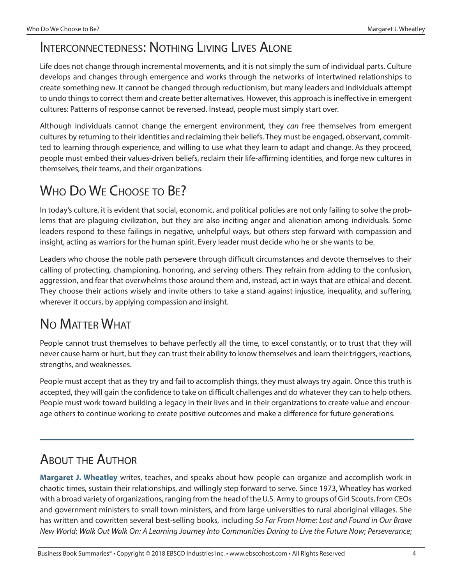#### Interconnectedness: Nothing Living Lives Alone

Life does not change through incremental movements, and it is not simply the sum of individual parts. Culture develops and changes through emergence and works through the networks of intertwined relationships to create something new. It cannot be changed through reductionism, but many leaders and individuals attempt to undo things to correct them and create better alternatives. However, this approach is ineffective in emergent cultures: Patterns of response cannot be reversed. Instead, people must simply start over.

Although individuals cannot change the emergent environment, they *can* free themselves from emergent cultures by returning to their identities and reclaiming their beliefs. They must be engaged, observant, committed to learning through experience, and willing to use what they learn to adapt and change. As they proceed, people must embed their values-driven beliefs, reclaim their life-affirming identities, and forge new cultures in themselves, their teams, and their organizations.

# WHO DO WE CHOOSE TO BE?

In today's culture, it is evident that social, economic, and political policies are not only failing to solve the problems that are plaguing civilization, but they are also inciting anger and alienation among individuals. Some leaders respond to these failings in negative, unhelpful ways, but others step forward with compassion and insight, acting as warriors for the human spirit. Every leader must decide who he or she wants to be.

Leaders who choose the noble path persevere through difficult circumstances and devote themselves to their calling of protecting, championing, honoring, and serving others. They refrain from adding to the confusion, aggression, and fear that overwhelms those around them and, instead, act in ways that are ethical and decent. They choose their actions wisely and invite others to take a stand against injustice, inequality, and suffering, wherever it occurs, by applying compassion and insight.

### No Matter What

People cannot trust themselves to behave perfectly all the time, to excel constantly, or to trust that they will never cause harm or hurt, but they can trust their ability to know themselves and learn their triggers, reactions, strengths, and weaknesses.

People must accept that as they try and fail to accomplish things, they must always try again. Once this truth is accepted, they will gain the confidence to take on difficult challenges and do whatever they can to help others. People must work toward building a legacy in their lives and in their organizations to create value and encourage others to continue working to create positive outcomes and make a difference for future generations.

#### About the Author

**[Margaret J. Wheatley](http://margaretwheatley.com/)** writes, teaches, and speaks about how people can organize and accomplish work in chaotic times, sustain their relationships, and willingly step forward to serve. Since 1973, Wheatley has worked with a broad variety of organizations, ranging from the head of the U.S. Army to groups of Girl Scouts, from CEOs and government ministers to small town ministers, and from large universities to rural aboriginal villages. She has written and cowritten several best-selling books, including *So Far From Home: Lost and Found in Our Brave New World*; *Walk Out Walk On: A Learning Journey Into Communities Daring to Live the Future Now*; *Perseverance*;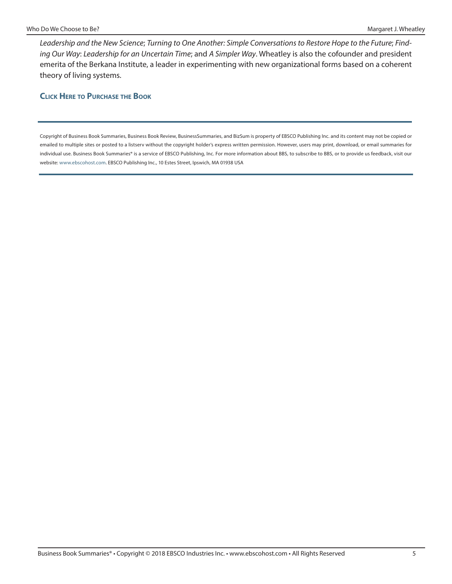*Leadership and the New Science*; *Turning to One Another: Simple Conversations to Restore Hope to the Future*; *Finding Our Way*: *Leadership for an Uncertain Time*; and *A Simpler Way*. Wheatley is also the cofounder and president emerita of the Berkana Institute, a leader in experimenting with new organizational forms based on a coherent theory of living systems.

#### **Click Here [to Purchase](https://www.amazon.com/Who-Do-Choose-Leadership-Restoring/dp/1523083638/ref=sr_1_1?ie=UTF8&qid=1507140212&sr=8-1&keywords=9781523083633) the Book**

Copyright of Business Book Summaries, Business Book Review, BusinessSummaries, and BizSum is property of EBSCO Publishing Inc. and its content may not be copied or emailed to multiple sites or posted to a listserv without the copyright holder's express written permission. However, users may print, download, or email summaries for individual use. Business Book Summaries® is a service of EBSCO Publishing, Inc. For more information about BBS, to subscribe to BBS, or to provide us feedback, visit our website:<www.ebscohost.com>. EBSCO Publishing Inc., 10 Estes Street, Ipswich, MA 01938 USA